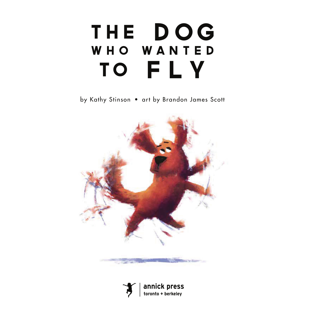## THE DOG WHO WANTED TO FLY

by Kathy Stinson • art by Brandon James Scott



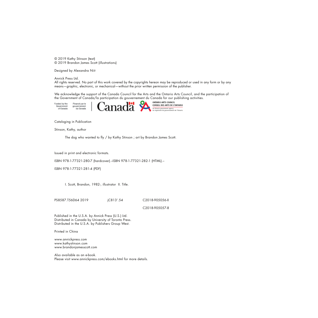© 2019 Kathy Stinson (text) © 2019 Brandon James Scott (illustrations)

Designed by Alexandra Niit

Annick Press Ltd.

All rights reserved. No part of this work covered by the copyrights hereon may be reproduced or used in any form or by any means—graphic, electronic, or mechanical—without the prior written permission of the publisher.

We acknowledge the support of the Canada Council for the Arts and the Ontario Arts Council, and the participation of the Government of Canada/la participation du gouvernement du Canada for our publishing activities.<br>
Financial by the Financia participation and a convenience of the CONN CONSEL DES ARTS DE L'ONTARIO

Funded by the Financé par le Government<br>of Canada gouvernement<br>du Carada



an Ontario government agency un organisme du gouvernement de l'Ontario

Cataloging in Publication

Stinson, Kathy, author

The dog who wanted to fly / by Kathy Stinson ; art by Brandon James Scott.

Issued in print and electronic formats.

ISBN 978-1-77321-280-7 (hardcover).--ISBN 978-1-77321-282-1 (HTML).--

ISBN 978-1-77321-281-4 (PDF)

I. Scott, Brandon, 1982-, illustrator II. Title.

PS8587.T56D64 2019 jC813'.54 C2018-905056-X

C2018-905057-8

Published in the U.S.A. by Annick Press (U.S.) Ltd. Distributed in Canada by University of Toronto Press. Distributed in the U.S.A. by Publishers Group West.

Printed in China

www.annickpress.com www.kathystinson.com www.brandonjamesscott.com

Also available as an e-book. Please visit www.annickpress.com/ebooks.html for more details.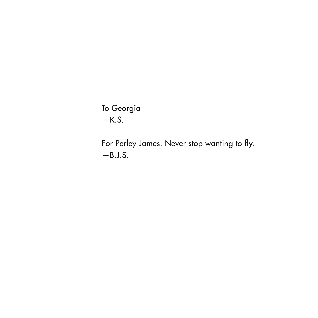To Georgia  $-K.S.$ 

For Perley James. Never stop wanting to fly. —B.J.S.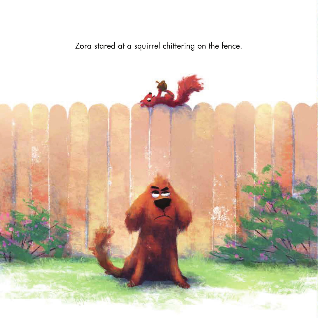Zora stared at a squirrel chittering on the fence.

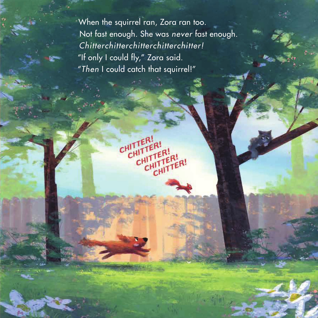When the squirrel ran, Zora ran too. Not fast enough. She was *never* fast enough. *Chitterchitterchitterchitterchitter!* "If only I could fly," Zora said. "*Then* I could catch that squirrel!"

CHITTER!

CHITTER!

CHUTTER!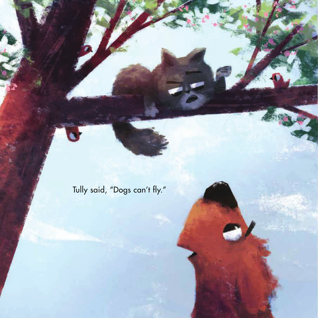Tully said, "Dogs can't fly."